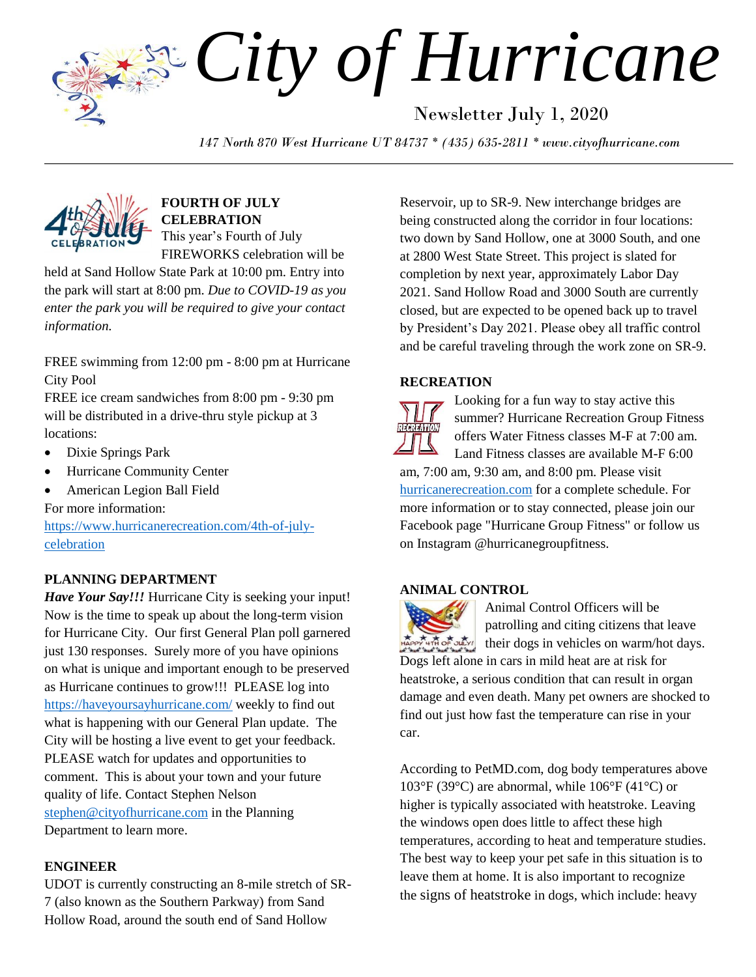*City of Hurricane* Newsletter July 1, 2020

*147 North 870 West Hurricane UT 84737 \* (435) 635-2811 \* www.cityofhurricane.com*



**FOURTH OF JULY CELEBRATION** This year's Fourth of July FIREWORKS celebration will be

held at Sand Hollow State Park at 10:00 pm. Entry into the park will start at 8:00 pm. *Due to COVID-19 as you enter the park you will be required to give your contact information.*

FREE swimming from 12:00 pm - 8:00 pm at Hurricane City Pool

FREE ice cream sandwiches from 8:00 pm - 9:30 pm will be distributed in a drive-thru style pickup at 3 locations:

- Dixie Springs Park
- Hurricane Community Center
- American Legion Ball Field For more information:

[https://www.hurricanerecreation.com/4th-of-july](https://www.hurricanerecreation.com/4th-of-july-celebration)[celebration](https://www.hurricanerecreation.com/4th-of-july-celebration)

# **PLANNING DEPARTMENT**

*Have Your Say!!!* Hurricane City is seeking your input! Now is the time to speak up about the long-term vision for Hurricane City. Our first General Plan poll garnered just 130 responses. Surely more of you have opinions on what is unique and important enough to be preserved as Hurricane continues to grow!!! PLEASE log into <https://haveyoursayhurricane.com/> weekly to find out what is happening with our General Plan update. The City will be hosting a live event to get your feedback. PLEASE watch for updates and opportunities to comment. This is about your town and your future quality of life. Contact Stephen Nelson [stephen@cityofhurricane.com](mailto:stephen@cityofhurricane.com) in the Planning Department to learn more.

# **ENGINEER**

UDOT is currently constructing an 8-mile stretch of SR-7 (also known as the Southern Parkway) from Sand Hollow Road, around the south end of Sand Hollow

Reservoir, up to SR-9. New interchange bridges are being constructed along the corridor in four locations: two down by Sand Hollow, one at 3000 South, and one at 2800 West State Street. This project is slated for completion by next year, approximately Labor Day 2021. Sand Hollow Road and 3000 South are currently closed, but are expected to be opened back up to travel by President's Day 2021. Please obey all traffic control and be careful traveling through the work zone on SR-9.

# **RECREATION**



Looking for a fun way to stay active this summer? Hurricane Recreation Group Fitness offers Water Fitness classes M-F at 7:00 am. Land Fitness classes are available M-F 6:00

am, 7:00 am, 9:30 am, and 8:00 pm. Please visit [hurricanerecreation.com](http://hurricanerecreation.com/) for a complete schedule. For more information or to stay connected, please join our Facebook page "Hurricane Group Fitness" or follow us on Instagram @hurricanegroupfitness.

## **ANIMAL CONTROL**

Animal Control Officers will be patrolling and citing citizens that leave their dogs in vehicles on warm/hot days. Dogs left alone in cars in mild heat are at risk for heatstroke, a serious condition that can result in organ damage and even death. Many pet owners are shocked to find out just how fast the temperature can rise in your car.

According to [PetMD.com,](http://www.petmd.com/dog/conditions/cardiovascular/c_dg_heat_stroke) dog body temperatures above 103°F (39°C) are abnormal, while 106°F (41°C) or higher is typically associated with heatstroke. Leaving the windows open does little to affect these high temperatures, according to heat and temperature studies. The best way to keep your pet safe in this situation is to leave them at home. It is also important to recognize the [signs of heatstroke](http://www.humanesociety.org/assets/pdfs/pets/hot_car_flyer.pdf) in dogs, which include: heavy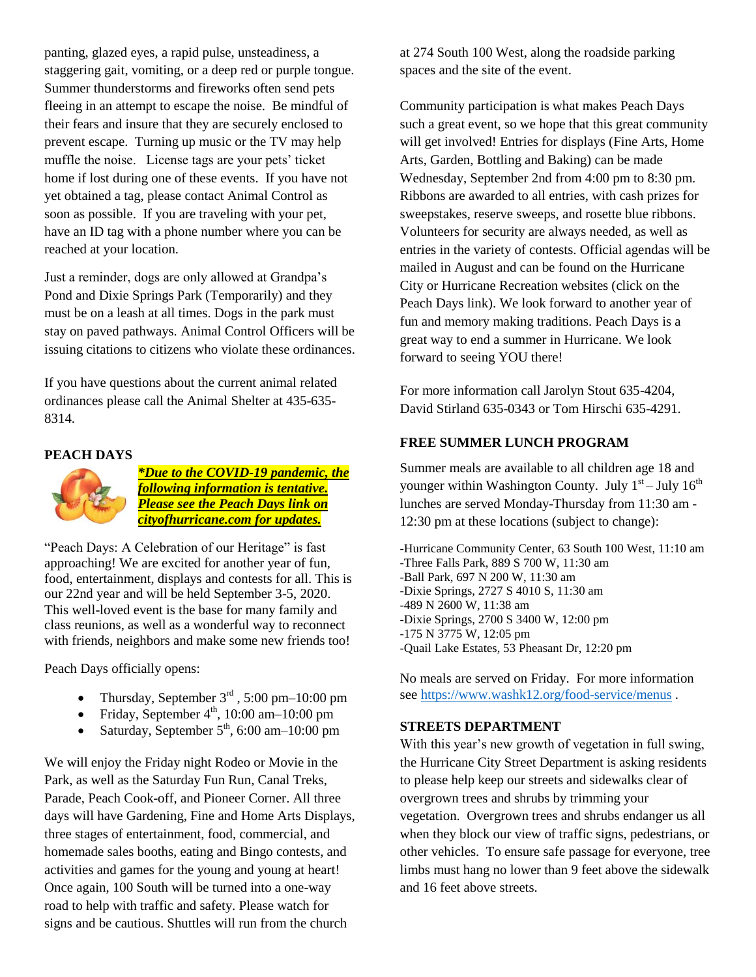panting, glazed eyes, a rapid pulse, unsteadiness, a staggering gait, vomiting, or a deep red or purple tongue. Summer thunderstorms and fireworks often send pets fleeing in an attempt to escape the noise. Be mindful of their fears and insure that they are securely enclosed to prevent escape. Turning up music or the TV may help muffle the noise. License tags are your pets' ticket home if lost during one of these events. If you have not yet obtained a tag, please contact Animal Control as soon as possible. If you are traveling with your pet, have an ID tag with a phone number where you can be reached at your location.

Just a reminder, dogs are only allowed at Grandpa's Pond and Dixie Springs Park (Temporarily) and they must be on a leash at all times. Dogs in the park must stay on paved pathways. Animal Control Officers will be issuing citations to citizens who violate these ordinances.

If you have questions about the current animal related ordinances please call the Animal Shelter at 435-635- 8314.

# **PEACH DAYS**



*\*Due to the COVID-19 pandemic, the following information is tentative. Please see the Peach Days link on cityofhurricane.com for updates.*

"Peach Days: A Celebration of our Heritage" is fast approaching! We are excited for another year of fun, food, entertainment, displays and contests for all. This is our 22nd year and will be held September 3-5, 2020. This well-loved event is the base for many family and class reunions, as well as a wonderful way to reconnect with friends, neighbors and make some new friends too!

Peach Days officially opens:

- Thursday, September  $3<sup>rd</sup>$ , 5:00 pm–10:00 pm
- Friday, September  $4<sup>th</sup>$ , 10:00 am–10:00 pm
- Saturday, September  $5<sup>th</sup>$ , 6:00 am–10:00 pm

We will enjoy the Friday night Rodeo or Movie in the Park, as well as the Saturday Fun Run, Canal Treks, Parade, Peach Cook-off, and Pioneer Corner. All three days will have Gardening, Fine and Home Arts Displays, three stages of entertainment, food, commercial, and homemade sales booths, eating and Bingo contests, and activities and games for the young and young at heart! Once again, 100 South will be turned into a one-way road to help with traffic and safety. Please watch for signs and be cautious. Shuttles will run from the church

at 274 South 100 West, along the roadside parking spaces and the site of the event.

Community participation is what makes Peach Days such a great event, so we hope that this great community will get involved! Entries for displays (Fine Arts, Home Arts, Garden, Bottling and Baking) can be made Wednesday, September 2nd from 4:00 pm to 8:30 pm. Ribbons are awarded to all entries, with cash prizes for sweepstakes, reserve sweeps, and rosette blue ribbons. Volunteers for security are always needed, as well as entries in the variety of contests. Official agendas will be mailed in August and can be found on the Hurricane City or Hurricane Recreation websites (click on the Peach Days link). We look forward to another year of fun and memory making traditions. Peach Days is a great way to end a summer in Hurricane. We look forward to seeing YOU there!

For more information call Jarolyn Stout 635-4204, David Stirland 635-0343 or Tom Hirschi 635-4291.

#### **FREE SUMMER LUNCH PROGRAM**

Summer meals are available to all children age 18 and younger within Washington County. July  $1<sup>st</sup> -$  July  $16<sup>th</sup>$ lunches are served Monday-Thursday from 11:30 am - 12:30 pm at these locations (subject to change):

-Hurricane Community Center, 63 South 100 West, 11:10 am -Three Falls Park, 889 S 700 W, 11:30 am -Ball Park, 697 N 200 W, 11:30 am -Dixie Springs, 2727 S 4010 S, 11:30 am -489 N 2600 W, 11:38 am -Dixie Springs, 2700 S 3400 W, 12:00 pm -175 N 3775 W, 12:05 pm -Quail Lake Estates, 53 Pheasant Dr, 12:20 pm

No meals are served on Friday. For more information see<https://www.washk12.org/food-service/menus> .

# **STREETS DEPARTMENT**

With this year's new growth of vegetation in full swing, the Hurricane City Street Department is asking residents to please help keep our streets and sidewalks clear of overgrown trees and shrubs by trimming your vegetation. Overgrown trees and shrubs endanger us all when they block our view of traffic signs, pedestrians, or other vehicles. To ensure safe passage for everyone, tree limbs must hang no lower than 9 feet above the sidewalk and 16 feet above streets.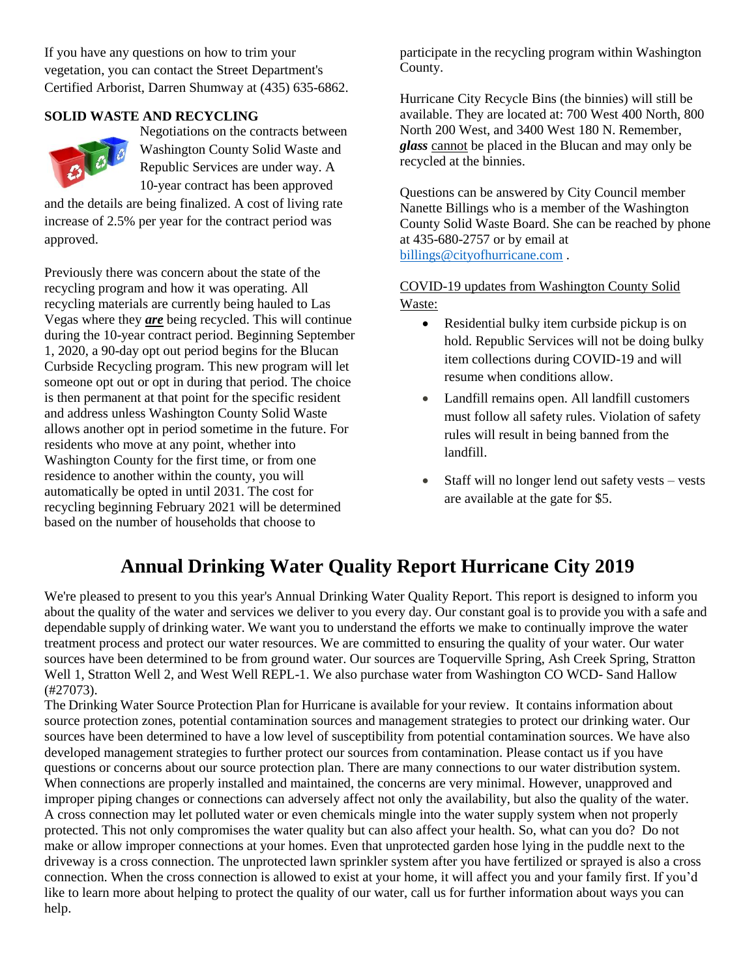If you have any questions on how to trim your vegetation, you can contact the Street Department's Certified Arborist, Darren Shumway at (435) 635-6862.

# **SOLID WASTE AND RECYCLING**



Negotiations on the contracts between Washington County Solid Waste and Republic Services are under way. A 10-year contract has been approved

and the details are being finalized. A cost of living rate increase of 2.5% per year for the contract period was approved.

Previously there was concern about the state of the recycling program and how it was operating. All recycling materials are currently being hauled to Las Vegas where they *are* being recycled. This will continue during the 10-year contract period. Beginning September 1, 2020, a 90-day opt out period begins for the Blucan Curbside Recycling program. This new program will let someone opt out or opt in during that period. The choice is then permanent at that point for the specific resident and address unless Washington County Solid Waste allows another opt in period sometime in the future. For residents who move at any point, whether into Washington County for the first time, or from one residence to another within the county, you will automatically be opted in until 2031. The cost for recycling beginning February 2021 will be determined based on the number of households that choose to

participate in the recycling program within Washington County.

Hurricane City Recycle Bins (the binnies) will still be available. They are located at: 700 West 400 North, 800 North 200 West, and 3400 West 180 N. Remember, *glass* cannot be placed in the Blucan and may only be recycled at the binnies.

Questions can be answered by City Council member Nanette Billings who is a member of the Washington County Solid Waste Board. She can be reached by phone at 435-680-2757 or by email at [billings@cityofhurricane.com](mailto:billings@cityofhurricane.com) .

# COVID-19 updates from Washington County Solid Waste:

- Residential bulky item curbside pickup is on hold. Republic Services will not be doing bulky item collections during COVID-19 and will resume when conditions allow.
- Landfill remains open. All landfill customers must follow all safety rules. Violation of safety rules will result in being banned from the landfill.
- Staff will no longer lend out safety vests vests are available at the gate for \$5.

# **Annual Drinking Water Quality Report Hurricane City 2019**

We're pleased to present to you this year's Annual Drinking Water Quality Report. This report is designed to inform you about the quality of the water and services we deliver to you every day. Our constant goal is to provide you with a safe and dependable supply of drinking water. We want you to understand the efforts we make to continually improve the water treatment process and protect our water resources. We are committed to ensuring the quality of your water. Our water sources have been determined to be from ground water. Our sources are Toquerville Spring, Ash Creek Spring, Stratton Well 1, Stratton Well 2, and West Well REPL-1. We also purchase water from Washington CO WCD-Sand Hallow (#27073).

The Drinking Water Source Protection Plan for Hurricane is available for your review. It contains information about source protection zones, potential contamination sources and management strategies to protect our drinking water. Our sources have been determined to have a low level of susceptibility from potential contamination sources. We have also developed management strategies to further protect our sources from contamination. Please contact us if you have questions or concerns about our source protection plan. There are many connections to our water distribution system. When connections are properly installed and maintained, the concerns are very minimal. However, unapproved and improper piping changes or connections can adversely affect not only the availability, but also the quality of the water. A cross connection may let polluted water or even chemicals mingle into the water supply system when not properly protected. This not only compromises the water quality but can also affect your health. So, what can you do? Do not make or allow improper connections at your homes. Even that unprotected garden hose lying in the puddle next to the driveway is a cross connection. The unprotected lawn sprinkler system after you have fertilized or sprayed is also a cross connection. When the cross connection is allowed to exist at your home, it will affect you and your family first. If you'd like to learn more about helping to protect the quality of our water, call us for further information about ways you can help.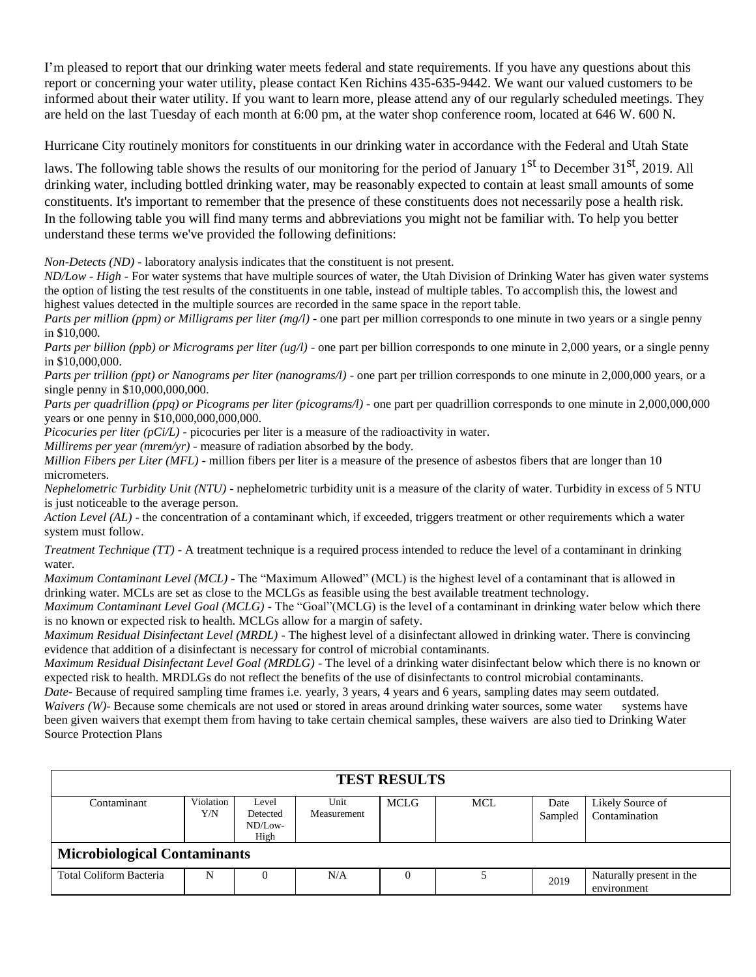I'm pleased to report that our drinking water meets federal and state requirements. If you have any questions about this report or concerning your water utility, please contact Ken Richins 435-635-9442. We want our valued customers to be informed about their water utility. If you want to learn more, please attend any of our regularly scheduled meetings. They are held on the last Tuesday of each month at 6:00 pm, at the water shop conference room, located at 646 W. 600 N.

Hurricane City routinely monitors for constituents in our drinking water in accordance with the Federal and Utah State

laws. The following table shows the results of our monitoring for the period of January  $1<sup>st</sup>$  to December 31<sup>st</sup>, 2019. All drinking water, including bottled drinking water, may be reasonably expected to contain at least small amounts of some constituents. It's important to remember that the presence of these constituents does not necessarily pose a health risk. In the following table you will find many terms and abbreviations you might not be familiar with. To help you better understand these terms we've provided the following definitions:

*Non-Detects (ND)* - laboratory analysis indicates that the constituent is not present.

*ND/Low - High -* For water systems that have multiple sources of water, the Utah Division of Drinking Water has given water systems the option of listing the test results of the constituents in one table, instead of multiple tables. To accomplish this, the lowest and highest values detected in the multiple sources are recorded in the same space in the report table.

*Parts per million (ppm) or Milligrams per liter (mg/l)* - one part per million corresponds to one minute in two years or a single penny in \$10,000.

*Parts per billion (ppb) or Micrograms per liter (ug/l)* - one part per billion corresponds to one minute in 2,000 years, or a single penny in \$10,000,000.

*Parts per trillion (ppt) or Nanograms per liter (nanograms/l)* - one part per trillion corresponds to one minute in 2,000,000 years, or a single penny in \$10,000,000,000.

*Parts per quadrillion (ppq) or Picograms per liter (picograms/l)* - one part per quadrillion corresponds to one minute in 2,000,000,000 years or one penny in \$10,000,000,000,000.

*Picocuries per liter (pCi/L)* - picocuries per liter is a measure of the radioactivity in water.

*Millirems per year (mrem/yr)* - measure of radiation absorbed by the body.

*Million Fibers per Liter (MFL)* - million fibers per liter is a measure of the presence of asbestos fibers that are longer than 10 micrometers.

*Nephelometric Turbidity Unit (NTU)* - nephelometric turbidity unit is a measure of the clarity of water. Turbidity in excess of 5 NTU is just noticeable to the average person.

*Action Level (AL)* - the concentration of a contaminant which, if exceeded, triggers treatment or other requirements which a water system must follow.

*Treatment Technique (TT)* - A treatment technique is a required process intended to reduce the level of a contaminant in drinking water.

*Maximum Contaminant Level (MCL)* - The "Maximum Allowed" (MCL) is the highest level of a contaminant that is allowed in drinking water. MCLs are set as close to the MCLGs as feasible using the best available treatment technology.

*Maximum Contaminant Level Goal (MCLG)* - The "Goal"(MCLG) is the level of a contaminant in drinking water below which there is no known or expected risk to health. MCLGs allow for a margin of safety.

*Maximum Residual Disinfectant Level (MRDL)* - The highest level of a disinfectant allowed in drinking water. There is convincing evidence that addition of a disinfectant is necessary for control of microbial contaminants.

*Maximum Residual Disinfectant Level Goal (MRDLG)* - The level of a drinking water disinfectant below which there is no known or expected risk to health. MRDLGs do not reflect the benefits of the use of disinfectants to control microbial contaminants.

*Date*- Because of required sampling time frames i.e. yearly, 3 years, 4 years and 6 years, sampling dates may seem outdated. *Waivers (W)*- Because some chemicals are not used or stored in areas around drinking water sources, some water systems have been given waivers that exempt them from having to take certain chemical samples, these waivers are also tied to Drinking Water Source Protection Plans

| <b>TEST RESULTS</b>                 |                  |                                        |                     |      |     |                 |                                         |  |
|-------------------------------------|------------------|----------------------------------------|---------------------|------|-----|-----------------|-----------------------------------------|--|
| Contaminant                         | Violation<br>Y/N | Level<br>Detected<br>$ND/Low-$<br>High | Unit<br>Measurement | MCLG | MCL | Date<br>Sampled | Likely Source of<br>Contamination       |  |
| <b>Microbiological Contaminants</b> |                  |                                        |                     |      |     |                 |                                         |  |
| Total Coliform Bacteria             | N                |                                        | N/A                 |      |     | 2019            | Naturally present in the<br>environment |  |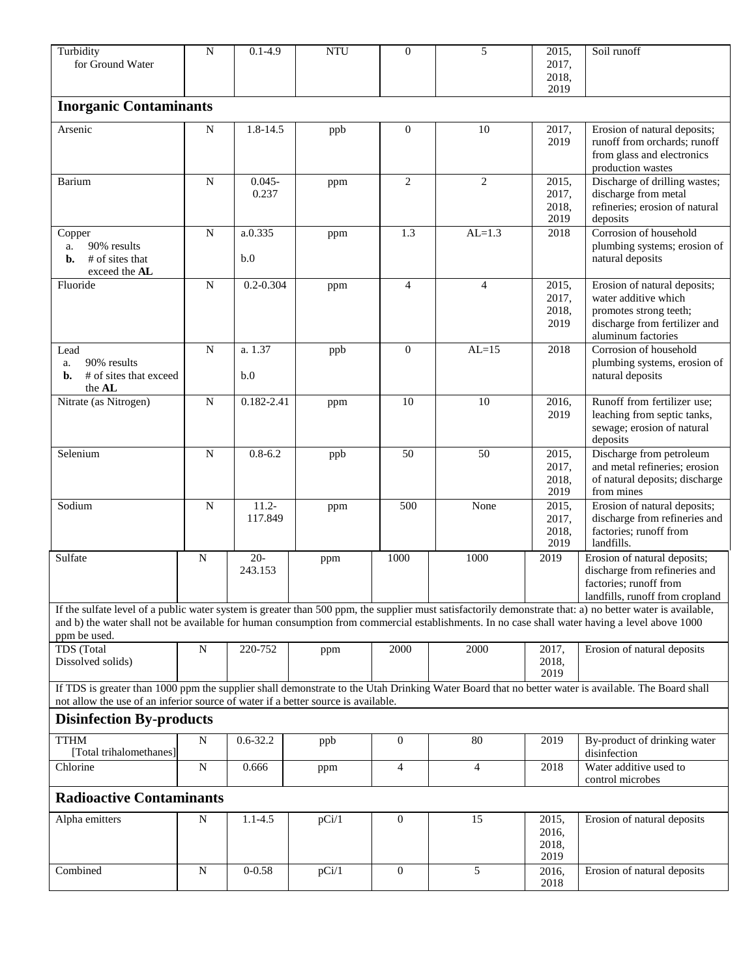| Turbidity<br>for Ground Water                                                     | $\overline{N}$ | $0.1 - 4.9$         | <b>NTU</b> | $\theta$         | 5              | $\overline{2015}$ ,<br>2017,<br>2018, | Soil runoff                                                                                                                                                                                                                                                                                                  |  |
|-----------------------------------------------------------------------------------|----------------|---------------------|------------|------------------|----------------|---------------------------------------|--------------------------------------------------------------------------------------------------------------------------------------------------------------------------------------------------------------------------------------------------------------------------------------------------------------|--|
| <b>Inorganic Contaminants</b>                                                     |                |                     |            |                  |                | 2019                                  |                                                                                                                                                                                                                                                                                                              |  |
|                                                                                   |                |                     |            |                  |                |                                       |                                                                                                                                                                                                                                                                                                              |  |
| Arsenic                                                                           | N              | 1.8-14.5            | ppb        | $\mathbf{0}$     | 10             | 2017,<br>2019                         | Erosion of natural deposits;<br>runoff from orchards; runoff<br>from glass and electronics<br>production wastes                                                                                                                                                                                              |  |
| Barium                                                                            | N              | $0.045 -$<br>0.237  | ppm        | $\overline{2}$   | $\overline{2}$ | 2015,<br>2017,<br>2018,<br>2019       | Discharge of drilling wastes;<br>discharge from metal<br>refineries; erosion of natural<br>deposits                                                                                                                                                                                                          |  |
| Copper<br>90% results<br>a.<br># of sites that<br>b.<br>exceed the AL             | ${\bf N}$      | a.0.335<br>b.0      | ppm        | 1.3              | $AL=1.3$       | 2018                                  | Corrosion of household<br>plumbing systems; erosion of<br>natural deposits                                                                                                                                                                                                                                   |  |
| Fluoride                                                                          | N              | $0.2 - 0.304$       | ppm        | $\overline{4}$   | $\overline{4}$ | 2015,<br>2017,<br>2018,<br>2019       | Erosion of natural deposits;<br>water additive which<br>promotes strong teeth;<br>discharge from fertilizer and<br>aluminum factories                                                                                                                                                                        |  |
| Lead<br>90% results<br>a.<br># of sites that exceed<br>b.<br>the AL               | $\mathbf N$    | a. 1.37<br>b.0      | ppb        | $\mathbf{0}$     | $AL=15$        | 2018                                  | Corrosion of household<br>plumbing systems, erosion of<br>natural deposits                                                                                                                                                                                                                                   |  |
| Nitrate (as Nitrogen)                                                             | $\mathbf N$    | $0.182 - 2.41$      | ppm        | 10               | 10             | 2016,<br>2019                         | Runoff from fertilizer use;<br>leaching from septic tanks,<br>sewage; erosion of natural<br>deposits                                                                                                                                                                                                         |  |
| Selenium                                                                          | $\overline{N}$ | $0.8 - 6.2$         | ppb        | 50               | 50             | 2015,<br>2017,<br>2018,<br>2019       | Discharge from petroleum<br>and metal refineries; erosion<br>of natural deposits; discharge<br>from mines                                                                                                                                                                                                    |  |
| Sodium                                                                            | $\mathbf N$    | $11.2 -$<br>117.849 | ppm        | 500              | None           | 2015,<br>2017,<br>2018,<br>2019       | Erosion of natural deposits;<br>discharge from refineries and<br>factories; runoff from<br>landfills.                                                                                                                                                                                                        |  |
| Sulfate                                                                           | $\mathbf N$    | $20-$<br>243.153    | ppm        | 1000             | 1000           | 2019                                  | Erosion of natural deposits;<br>discharge from refineries and<br>factories; runoff from<br>landfills, runoff from cropland                                                                                                                                                                                   |  |
| ppm be used.                                                                      |                |                     |            |                  |                |                                       | If the sulfate level of a public water system is greater than 500 ppm, the supplier must satisfactorily demonstrate that: a) no better water is available,<br>and b) the water shall not be available for human consumption from commercial establishments. In no case shall water having a level above 1000 |  |
| TDS (Total<br>Dissolved solids)                                                   | N              | 220-752             | ppm        | 2000             | 2000           | 2017,<br>2018,<br>2019                | Erosion of natural deposits                                                                                                                                                                                                                                                                                  |  |
| not allow the use of an inferior source of water if a better source is available. |                |                     |            |                  |                |                                       | If TDS is greater than 1000 ppm the supplier shall demonstrate to the Utah Drinking Water Board that no better water is available. The Board shall                                                                                                                                                           |  |
| <b>Disinfection By-products</b>                                                   |                |                     |            |                  |                |                                       |                                                                                                                                                                                                                                                                                                              |  |
| <b>TTHM</b><br>[Total trihalomethanes]                                            | $\mathbf N$    | $0.6 - 32.2$        | ppb        | $\mathbf{0}$     | 80             | 2019                                  | By-product of drinking water<br>disinfection                                                                                                                                                                                                                                                                 |  |
| Chlorine                                                                          | $\mathbf N$    | 0.666               | ppm        | $\overline{4}$   | $\overline{4}$ | 2018                                  | Water additive used to<br>control microbes                                                                                                                                                                                                                                                                   |  |
| <b>Radioactive Contaminants</b>                                                   |                |                     |            |                  |                |                                       |                                                                                                                                                                                                                                                                                                              |  |
| Alpha emitters                                                                    | $\mathbf N$    | $1.1 - 4.5$         | pCi/1      | $\boldsymbol{0}$ | 15             | 2015,<br>2016,<br>2018,<br>2019       | Erosion of natural deposits                                                                                                                                                                                                                                                                                  |  |
| Combined                                                                          | ${\bf N}$      | $0 - 0.58$          | pCi/1      | $\theta$         | 5              | 2016,<br>2018                         | Erosion of natural deposits                                                                                                                                                                                                                                                                                  |  |